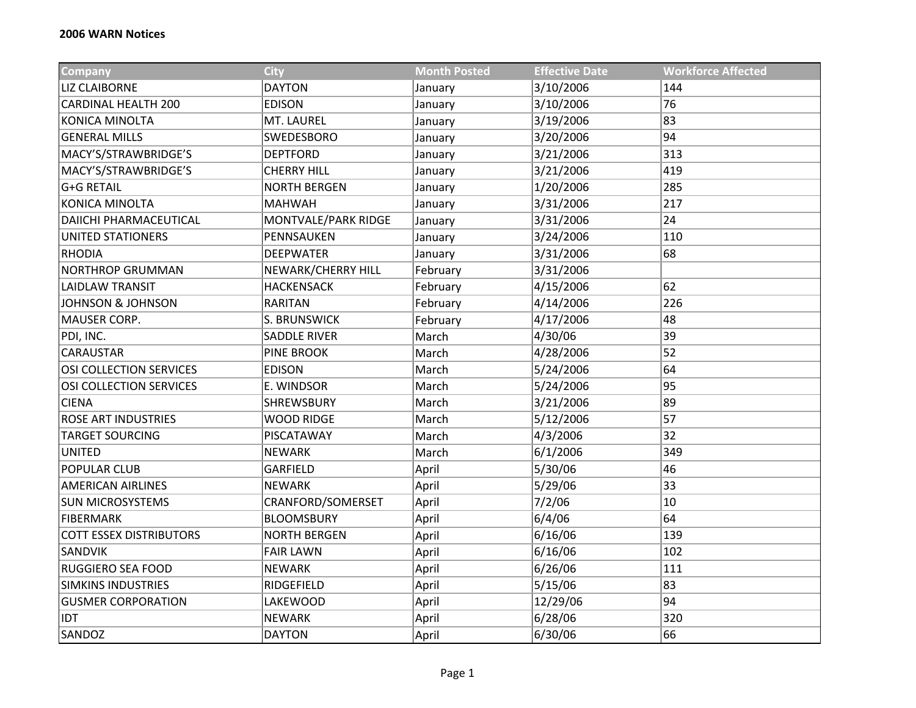| <b>Company</b>                 | <b>City</b>         | <b>Month Posted</b> | <b>Effective Date</b> | <b>Workforce Affected</b> |
|--------------------------------|---------------------|---------------------|-----------------------|---------------------------|
| <b>LIZ CLAIBORNE</b>           | <b>DAYTON</b>       | January             | 3/10/2006             | 144                       |
| <b>CARDINAL HEALTH 200</b>     | <b>EDISON</b>       | January             | 3/10/2006             | 76                        |
| KONICA MINOLTA                 | MT. LAUREL          | January             | 3/19/2006             | 83                        |
| <b>GENERAL MILLS</b>           | SWEDESBORO          | January             | 3/20/2006             | 94                        |
| MACY'S/STRAWBRIDGE'S           | <b>DEPTFORD</b>     | January             | 3/21/2006             | 313                       |
| MACY'S/STRAWBRIDGE'S           | <b>CHERRY HILL</b>  | January             | 3/21/2006             | 419                       |
| <b>G+G RETAIL</b>              | <b>NORTH BERGEN</b> | January             | 1/20/2006             | 285                       |
| <b>KONICA MINOLTA</b>          | <b>MAHWAH</b>       | January             | 3/31/2006             | 217                       |
| <b>DAIICHI PHARMACEUTICAL</b>  | MONTVALE/PARK RIDGE | January             | 3/31/2006             | 24                        |
| UNITED STATIONERS              | PENNSAUKEN          | January             | 3/24/2006             | 110                       |
| <b>RHODIA</b>                  | <b>DEEPWATER</b>    | January             | 3/31/2006             | 68                        |
| <b>NORTHROP GRUMMAN</b>        | NEWARK/CHERRY HILL  | February            | 3/31/2006             |                           |
| <b>LAIDLAW TRANSIT</b>         | <b>HACKENSACK</b>   | February            | 4/15/2006             | 62                        |
| <b>JOHNSON &amp; JOHNSON</b>   | <b>RARITAN</b>      | February            | 4/14/2006             | 226                       |
| MAUSER CORP.                   | S. BRUNSWICK        | February            | 4/17/2006             | 48                        |
| PDI, INC.                      | <b>SADDLE RIVER</b> | March               | 4/30/06               | 39                        |
| <b>CARAUSTAR</b>               | <b>PINE BROOK</b>   | March               | 4/28/2006             | 52                        |
| OSI COLLECTION SERVICES        | <b>EDISON</b>       | March               | 5/24/2006             | 64                        |
| OSI COLLECTION SERVICES        | E. WINDSOR          | March               | 5/24/2006             | 95                        |
| <b>CIENA</b>                   | <b>SHREWSBURY</b>   | March               | 3/21/2006             | 89                        |
| <b>ROSE ART INDUSTRIES</b>     | <b>WOOD RIDGE</b>   | March               | 5/12/2006             | 57                        |
| <b>TARGET SOURCING</b>         | PISCATAWAY          | March               | 4/3/2006              | 32                        |
| <b>UNITED</b>                  | <b>NEWARK</b>       | March               | 6/1/2006              | 349                       |
| POPULAR CLUB                   | GARFIELD            | April               | 5/30/06               | 46                        |
| <b>AMERICAN AIRLINES</b>       | <b>NEWARK</b>       | April               | 5/29/06               | 33                        |
| <b>SUN MICROSYSTEMS</b>        | CRANFORD/SOMERSET   | April               | 7/2/06                | 10                        |
| <b>FIBERMARK</b>               | <b>BLOOMSBURY</b>   | April               | 6/4/06                | 64                        |
| <b>COTT ESSEX DISTRIBUTORS</b> | <b>NORTH BERGEN</b> | April               | 6/16/06               | 139                       |
| <b>SANDVIK</b>                 | <b>FAIR LAWN</b>    | April               | 6/16/06               | 102                       |
| RUGGIERO SEA FOOD              | <b>NEWARK</b>       | April               | 6/26/06               | 111                       |
| <b>SIMKINS INDUSTRIES</b>      | RIDGEFIELD          | April               | 5/15/06               | 83                        |
| <b>GUSMER CORPORATION</b>      | <b>LAKEWOOD</b>     | April               | 12/29/06              | 94                        |
| <b>IDT</b>                     | <b>NEWARK</b>       | April               | 6/28/06               | 320                       |
| SANDOZ                         | <b>DAYTON</b>       | April               | 6/30/06               | 66                        |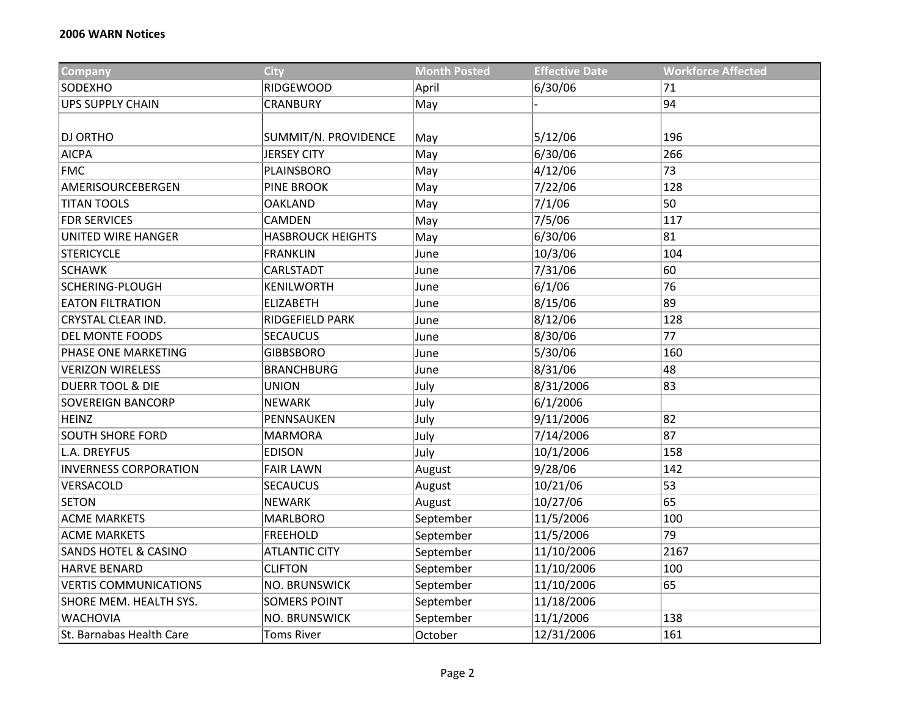| <b>Company</b>                  | <b>City</b>              | <b>Month Posted</b> | <b>Effective Date</b> | <b>Workforce Affected</b> |
|---------------------------------|--------------------------|---------------------|-----------------------|---------------------------|
| SODEXHO                         | <b>RIDGEWOOD</b>         | April               | 6/30/06               | 71                        |
| <b>UPS SUPPLY CHAIN</b>         | <b>CRANBURY</b>          | May                 |                       | 94                        |
|                                 |                          |                     |                       |                           |
| <b>DJ ORTHO</b>                 | SUMMIT/N. PROVIDENCE     | May                 | 5/12/06               | 196                       |
| <b>AICPA</b>                    | <b>JERSEY CITY</b>       | May                 | 6/30/06               | 266                       |
| <b>FMC</b>                      | PLAINSBORO               | May                 | 4/12/06               | 73                        |
| AMERISOURCEBERGEN               | <b>PINE BROOK</b>        | May                 | 7/22/06               | 128                       |
| <b>TITAN TOOLS</b>              | OAKLAND                  | May                 | 7/1/06                | 50                        |
| <b>FDR SERVICES</b>             | CAMDEN                   | May                 | 7/5/06                | 117                       |
| <b>UNITED WIRE HANGER</b>       | <b>HASBROUCK HEIGHTS</b> | May                 | 6/30/06               | 81                        |
| <b>STERICYCLE</b>               | <b>FRANKLIN</b>          | June                | 10/3/06               | 104                       |
| <b>SCHAWK</b>                   | CARLSTADT                | June                | 7/31/06               | 60                        |
| SCHERING-PLOUGH                 | <b>KENILWORTH</b>        | June                | 6/1/06                | 76                        |
| <b>EATON FILTRATION</b>         | <b>ELIZABETH</b>         | June                | 8/15/06               | 89                        |
| CRYSTAL CLEAR IND.              | RIDGEFIELD PARK          | June                | 8/12/06               | 128                       |
| <b>DEL MONTE FOODS</b>          | <b>SECAUCUS</b>          | June                | 8/30/06               | 77                        |
| PHASE ONE MARKETING             | <b>GIBBSBORO</b>         | June                | 5/30/06               | 160                       |
| <b>VERIZON WIRELESS</b>         | <b>BRANCHBURG</b>        | June                | 8/31/06               | 48                        |
| <b>DUERR TOOL &amp; DIE</b>     | <b>UNION</b>             | July                | 8/31/2006             | 83                        |
| <b>SOVEREIGN BANCORP</b>        | <b>NEWARK</b>            | July                | 6/1/2006              |                           |
| <b>HEINZ</b>                    | PENNSAUKEN               | July                | 9/11/2006             | 82                        |
| <b>SOUTH SHORE FORD</b>         | <b>MARMORA</b>           | July                | 7/14/2006             | 87                        |
| L.A. DREYFUS                    | <b>EDISON</b>            | July                | 10/1/2006             | 158                       |
| <b>INVERNESS CORPORATION</b>    | <b>FAIR LAWN</b>         | August              | 9/28/06               | 142                       |
| VERSACOLD                       | <b>SECAUCUS</b>          | August              | 10/21/06              | 53                        |
| <b>SETON</b>                    | <b>NEWARK</b>            | August              | 10/27/06              | 65                        |
| <b>ACME MARKETS</b>             | <b>MARLBORO</b>          | September           | 11/5/2006             | 100                       |
| <b>ACME MARKETS</b>             | <b>FREEHOLD</b>          | September           | 11/5/2006             | 79                        |
| <b>SANDS HOTEL &amp; CASINO</b> | <b>ATLANTIC CITY</b>     | September           | 11/10/2006            | 2167                      |
| <b>HARVE BENARD</b>             | <b>CLIFTON</b>           | September           | 11/10/2006            | 100                       |
| <b>VERTIS COMMUNICATIONS</b>    | NO. BRUNSWICK            | September           | 11/10/2006            | 65                        |
| SHORE MEM. HEALTH SYS.          | <b>SOMERS POINT</b>      | September           | 11/18/2006            |                           |
| <b>WACHOVIA</b>                 | <b>NO. BRUNSWICK</b>     | September           | 11/1/2006             | 138                       |
| St. Barnabas Health Care        | <b>Toms River</b>        | October             | 12/31/2006            | 161                       |